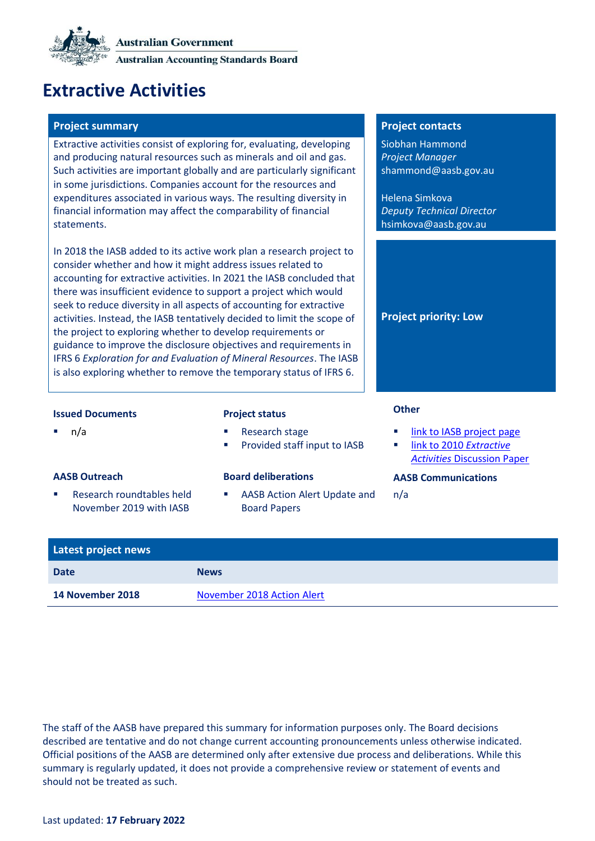

# **Extractive Activities**

## **Project summary Project contacts**

Extractive activities consist of exploring for, evaluating, developing and producing natural resources such as minerals and oil and gas. Such activities are important globally and are particularly significant in some jurisdictions. Companies account for the resources and expenditures associated in various ways. The resulting diversity in financial information may affect the comparability of financial statements.

In 2018 the IASB added to its active work plan a research project to consider whether and how it might address issues related to accounting for extractive activities. In 2021 the IASB concluded that there was insufficient evidence to support a project which would seek to reduce diversity in all aspects of accounting for extractive activities. Instead, the IASB tentatively decided to limit the scope of the project to exploring whether to develop requirements or guidance to improve the disclosure objectives and requirements in IFRS 6 *Exploration for and Evaluation of Mineral Resources*. The IASB is also exploring whether to remove the temporary status of IFRS 6.

Siobhan Hammond *Project Manager* shammond@aasb.gov.au

Helena Simkova *Deputy Technical Director* hsimkova@aasb.gov.au

**Project priority: Low**

## **Issued Documents Project status Other**

- n/a **Research stage** 
	- Provided staff input to IASB

Research roundtables held November 2019 with IASB

### **AASB Outreach Board deliberations AASB Communications**

AASB Action Alert Update and [Board Papers](#page-1-0)

- link to IASB [project page](https://www.ifrs.org/projects/work-plan/extractive-activities/#current-stage)
- [link to 2010](https://www.ifrs.org/projects/2016/extractive-activities-2010/) *Extractive Activities* [Discussion Paper](https://www.ifrs.org/projects/2016/extractive-activities-2010/)

n/a

| Latest project news |                            |
|---------------------|----------------------------|
| <b>Date</b>         | <b>News</b>                |
| 14 November 2018    | November 2018 Action Alert |

The staff of the AASB have prepared this summary for information purposes only. The Board decisions described are tentative and do not change current accounting pronouncements unless otherwise indicated. Official positions of the AASB are determined only after extensive due process and deliberations. While this summary is regularly updated, it does not provide a comprehensive review or statement of events and should not be treated as such.